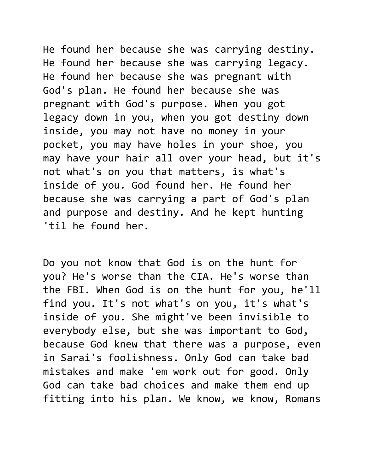He found her because she was carrying destiny. He found her because she was carrying legacy. He found her because she was pregnant with God's plan. He found her because she was pregnant with God's purpose. When you got legacy down in you, when you got destiny down inside, you may not have no money in your pocket, you may have holes in your shoe, you may have your hair all over your head, but it's not what's on you that matters, is what's inside of you. God found her. He found her because she was carrying a part of God's plan and purpose and destiny. And he kept hunting 'til he found her.

Do you not know that God is on the hunt for you? He's worse than the CIA. He's worse than the FBI. When God is on the hunt for you, he'll find you. It's not what's on you, it's what's inside of you. She might've been invisible to everybody else, but she was important to God, because God knew that there was a purpose, even in Sarai's foolishness. Only God can take bad mistakes and make 'em work out for good. Only God can take bad choices and make them end up fitting into his plan. We know, we know, Romans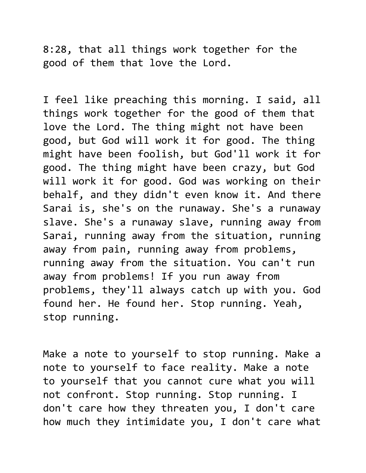8:28, that all things work together for the good of them that love the Lord.

I feel like preaching this morning. I said, all things work together for the good of them that love the Lord. The thing might not have been good, but God will work it for good. The thing might have been foolish, but God'll work it for good. The thing might have been crazy, but God will work it for good. God was working on their behalf, and they didn't even know it. And there Sarai is, she's on the runaway. She's a runaway slave. She's a runaway slave, running away from Sarai, running away from the situation, running away from pain, running away from problems, running away from the situation. You can't run away from problems! If you run away from problems, they'll always catch up with you. God found her. He found her. Stop running. Yeah, stop running.

Make a note to yourself to stop running. Make a note to yourself to face reality. Make a note to yourself that you cannot cure what you will not confront. Stop running. Stop running. I don't care how they threaten you, I don't care how much they intimidate you, I don't care what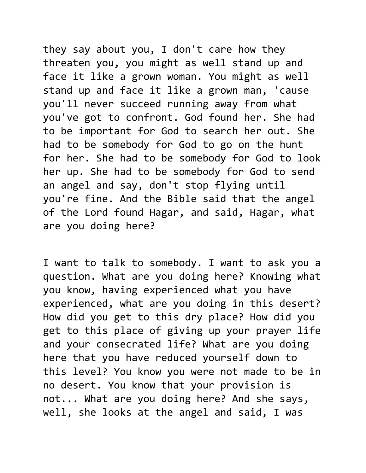they say about you, I don't care how they threaten you, you might as well stand up and face it like a grown woman. You might as well stand up and face it like a grown man, 'cause you'll never succeed running away from what you've got to confront. God found her. She had to be important for God to search her out. She had to be somebody for God to go on the hunt for her. She had to be somebody for God to look her up. She had to be somebody for God to send an angel and say, don't stop flying until you're fine. And the Bible said that the angel of the Lord found Hagar, and said, Hagar, what are you doing here?

I want to talk to somebody. I want to ask you a question. What are you doing here? Knowing what you know, having experienced what you have experienced, what are you doing in this desert? How did you get to this dry place? How did you get to this place of giving up your prayer life and your consecrated life? What are you doing here that you have reduced yourself down to this level? You know you were not made to be in no desert. You know that your provision is not... What are you doing here? And she says, well, she looks at the angel and said, I was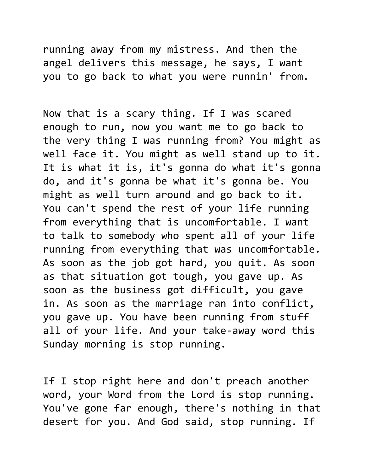running away from my mistress. And then the angel delivers this message, he says, I want you to go back to what you were runnin' from.

Now that is a scary thing. If I was scared enough to run, now you want me to go back to the very thing I was running from? You might as well face it. You might as well stand up to it. It is what it is, it's gonna do what it's gonna do, and it's gonna be what it's gonna be. You might as well turn around and go back to it. You can't spend the rest of your life running from everything that is uncomfortable. I want to talk to somebody who spent all of your life running from everything that was uncomfortable. As soon as the job got hard, you quit. As soon as that situation got tough, you gave up. As soon as the business got difficult, you gave in. As soon as the marriage ran into conflict, you gave up. You have been running from stuff all of your life. And your take-away word this Sunday morning is stop running.

If I stop right here and don't preach another word, your Word from the Lord is stop running. You've gone far enough, there's nothing in that desert for you. And God said, stop running. If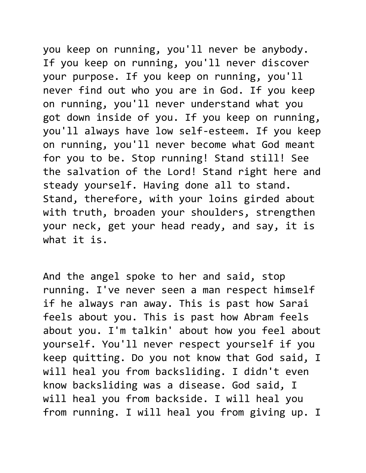you keep on running, you'll never be anybody. If you keep on running, you'll never discover your purpose. If you keep on running, you'll never find out who you are in God. If you keep on running, you'll never understand what you got down inside of you. If you keep on running, you'll always have low self-esteem. If you keep on running, you'll never become what God meant for you to be. Stop running! Stand still! See the salvation of the Lord! Stand right here and steady yourself. Having done all to stand. Stand, therefore, with your loins girded about with truth, broaden your shoulders, strengthen your neck, get your head ready, and say, it is what it is.

And the angel spoke to her and said, stop running. I've never seen a man respect himself if he always ran away. This is past how Sarai feels about you. This is past how Abram feels about you. I'm talkin' about how you feel about yourself. You'll never respect yourself if you keep quitting. Do you not know that God said, I will heal you from backsliding. I didn't even know backsliding was a disease. God said, I will heal you from backside. I will heal you from running. I will heal you from giving up. I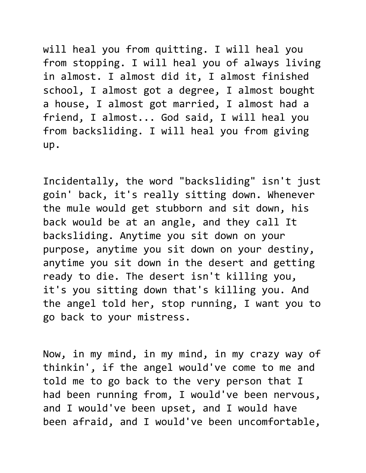will heal you from quitting. I will heal you from stopping. I will heal you of always living in almost. I almost did it, I almost finished school, I almost got a degree, I almost bought a house, I almost got married, I almost had a friend, I almost... God said, I will heal you from backsliding. I will heal you from giving up.

Incidentally, the word "backsliding" isn't just goin' back, it's really sitting down. Whenever the mule would get stubborn and sit down, his back would be at an angle, and they call It backsliding. Anytime you sit down on your purpose, anytime you sit down on your destiny, anytime you sit down in the desert and getting ready to die. The desert isn't killing you, it's you sitting down that's killing you. And the angel told her, stop running, I want you to go back to your mistress.

Now, in my mind, in my mind, in my crazy way of thinkin', if the angel would've come to me and told me to go back to the very person that I had been running from, I would've been nervous, and I would've been upset, and I would have been afraid, and I would've been uncomfortable,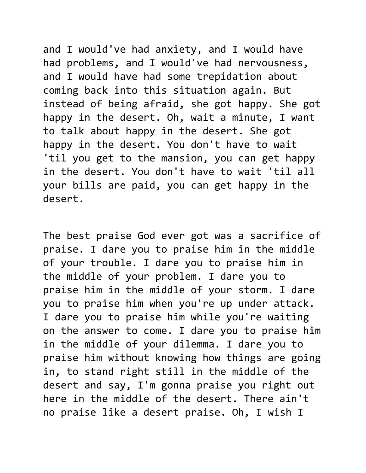and I would've had anxiety, and I would have had problems, and I would've had nervousness, and I would have had some trepidation about coming back into this situation again. But instead of being afraid, she got happy. She got happy in the desert. Oh, wait a minute, I want to talk about happy in the desert. She got happy in the desert. You don't have to wait 'til you get to the mansion, you can get happy in the desert. You don't have to wait 'til all your bills are paid, you can get happy in the desert.

The best praise God ever got was a sacrifice of praise. I dare you to praise him in the middle of your trouble. I dare you to praise him in the middle of your problem. I dare you to praise him in the middle of your storm. I dare you to praise him when you're up under attack. I dare you to praise him while you're waiting on the answer to come. I dare you to praise him in the middle of your dilemma. I dare you to praise him without knowing how things are going in, to stand right still in the middle of the desert and say, I'm gonna praise you right out here in the middle of the desert. There ain't no praise like a desert praise. Oh, I wish I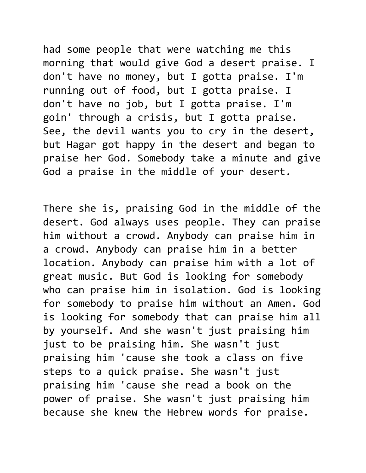had some people that were watching me this morning that would give God a desert praise. I don't have no money, but I gotta praise. I'm running out of food, but I gotta praise. I don't have no job, but I gotta praise. I'm goin' through a crisis, but I gotta praise. See, the devil wants you to cry in the desert, but Hagar got happy in the desert and began to praise her God. Somebody take a minute and give God a praise in the middle of your desert.

There she is, praising God in the middle of the desert. God always uses people. They can praise him without a crowd. Anybody can praise him in a crowd. Anybody can praise him in a better location. Anybody can praise him with a lot of great music. But God is looking for somebody who can praise him in isolation. God is looking for somebody to praise him without an Amen. God is looking for somebody that can praise him all by yourself. And she wasn't just praising him just to be praising him. She wasn't just praising him 'cause she took a class on five steps to a quick praise. She wasn't just praising him 'cause she read a book on the power of praise. She wasn't just praising him because she knew the Hebrew words for praise.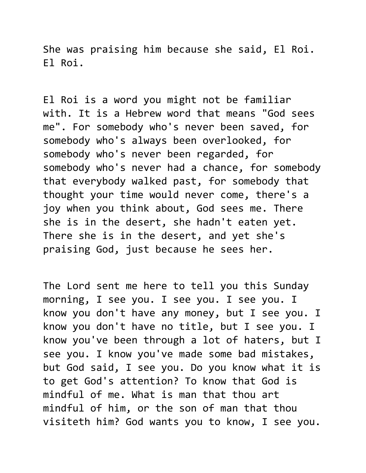She was praising him because she said, El Roi. El Roi.

El Roi is a word you might not be familiar with. It is a Hebrew word that means "God sees me". For somebody who's never been saved, for somebody who's always been overlooked, for somebody who's never been regarded, for somebody who's never had a chance, for somebody that everybody walked past, for somebody that thought your time would never come, there's a joy when you think about, God sees me. There she is in the desert, she hadn't eaten yet. There she is in the desert, and yet she's praising God, just because he sees her.

The Lord sent me here to tell you this Sunday morning, I see you. I see you. I see you. I know you don't have any money, but I see you. I know you don't have no title, but I see you. I know you've been through a lot of haters, but I see you. I know you've made some bad mistakes, but God said, I see you. Do you know what it is to get God's attention? To know that God is mindful of me. What is man that thou art mindful of him, or the son of man that thou visiteth him? God wants you to know, I see you.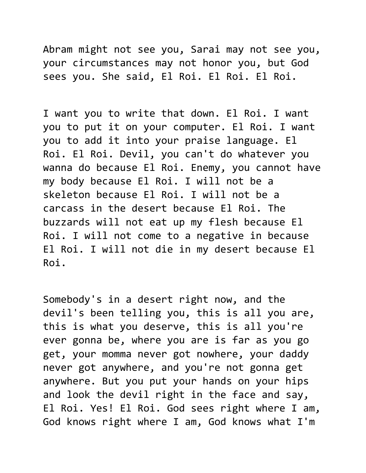Abram might not see you, Sarai may not see you, your circumstances may not honor you, but God sees you. She said, El Roi. El Roi. El Roi.

I want you to write that down. El Roi. I want you to put it on your computer. El Roi. I want you to add it into your praise language. El Roi. El Roi. Devil, you can't do whatever you wanna do because El Roi. Enemy, you cannot have my body because El Roi. I will not be a skeleton because El Roi. I will not be a carcass in the desert because El Roi. The buzzards will not eat up my flesh because El Roi. I will not come to a negative in because El Roi. I will not die in my desert because El Roi.

Somebody's in a desert right now, and the devil's been telling you, this is all you are, this is what you deserve, this is all you're ever gonna be, where you are is far as you go get, your momma never got nowhere, your daddy never got anywhere, and you're not gonna get anywhere. But you put your hands on your hips and look the devil right in the face and say, El Roi. Yes! El Roi. God sees right where I am, God knows right where I am, God knows what I'm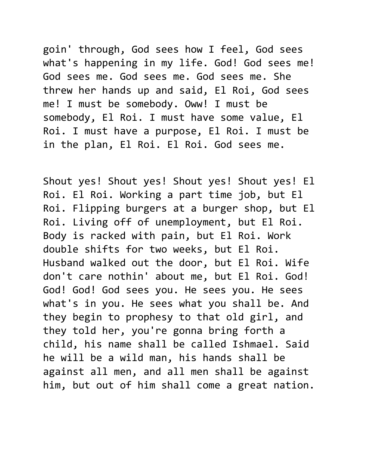goin' through, God sees how I feel, God sees what's happening in my life. God! God sees me! God sees me. God sees me. God sees me. She threw her hands up and said, El Roi, God sees me! I must be somebody. Oww! I must be somebody, El Roi. I must have some value, El Roi. I must have a purpose, El Roi. I must be in the plan, El Roi. El Roi. God sees me.

Shout yes! Shout yes! Shout yes! Shout yes! El Roi. El Roi. Working a part time job, but El Roi. Flipping burgers at a burger shop, but El Roi. Living off of unemployment, but El Roi. Body is racked with pain, but El Roi. Work double shifts for two weeks, but El Roi. Husband walked out the door, but El Roi. Wife don't care nothin' about me, but El Roi. God! God! God! God sees you. He sees you. He sees what's in you. He sees what you shall be. And they begin to prophesy to that old girl, and they told her, you're gonna bring forth a child, his name shall be called Ishmael. Said he will be a wild man, his hands shall be against all men, and all men shall be against him, but out of him shall come a great nation.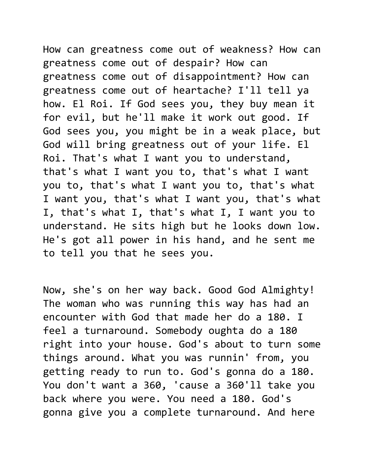How can greatness come out of weakness? How can greatness come out of despair? How can greatness come out of disappointment? How can greatness come out of heartache? I'll tell ya how. El Roi. If God sees you, they buy mean it for evil, but he'll make it work out good. If God sees you, you might be in a weak place, but God will bring greatness out of your life. El Roi. That's what I want you to understand, that's what I want you to, that's what I want you to, that's what I want you to, that's what I want you, that's what I want you, that's what I, that's what I, that's what I, I want you to understand. He sits high but he looks down low. He's got all power in his hand, and he sent me to tell you that he sees you.

Now, she's on her way back. Good God Almighty! The woman who was running this way has had an encounter with God that made her do a 180. I feel a turnaround. Somebody oughta do a 180 right into your house. God's about to turn some things around. What you was runnin' from, you getting ready to run to. God's gonna do a 180. You don't want a 360, 'cause a 360'll take you back where you were. You need a 180. God's gonna give you a complete turnaround. And here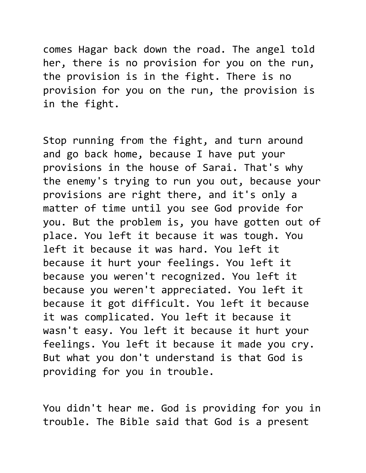comes Hagar back down the road. The angel told her, there is no provision for you on the run, the provision is in the fight. There is no provision for you on the run, the provision is in the fight.

Stop running from the fight, and turn around and go back home, because I have put your provisions in the house of Sarai. That's why the enemy's trying to run you out, because your provisions are right there, and it's only a matter of time until you see God provide for you. But the problem is, you have gotten out of place. You left it because it was tough. You left it because it was hard. You left it because it hurt your feelings. You left it because you weren't recognized. You left it because you weren't appreciated. You left it because it got difficult. You left it because it was complicated. You left it because it wasn't easy. You left it because it hurt your feelings. You left it because it made you cry. But what you don't understand is that God is providing for you in trouble.

You didn't hear me. God is providing for you in trouble. The Bible said that God is a present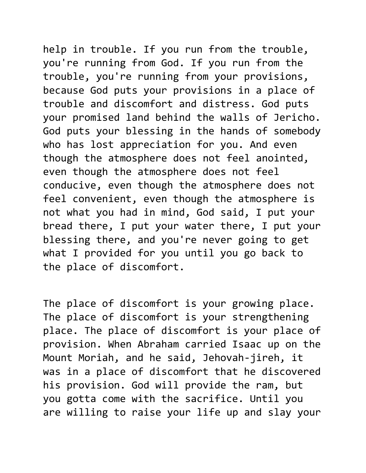help in trouble. If you run from the trouble, you're running from God. If you run from the trouble, you're running from your provisions, because God puts your provisions in a place of trouble and discomfort and distress. God puts your promised land behind the walls of Jericho. God puts your blessing in the hands of somebody who has lost appreciation for you. And even though the atmosphere does not feel anointed, even though the atmosphere does not feel conducive, even though the atmosphere does not feel convenient, even though the atmosphere is not what you had in mind, God said, I put your bread there, I put your water there, I put your blessing there, and you're never going to get what I provided for you until you go back to the place of discomfort.

The place of discomfort is your growing place. The place of discomfort is your strengthening place. The place of discomfort is your place of provision. When Abraham carried Isaac up on the Mount Moriah, and he said, Jehovah-jireh, it was in a place of discomfort that he discovered his provision. God will provide the ram, but you gotta come with the sacrifice. Until you are willing to raise your life up and slay your